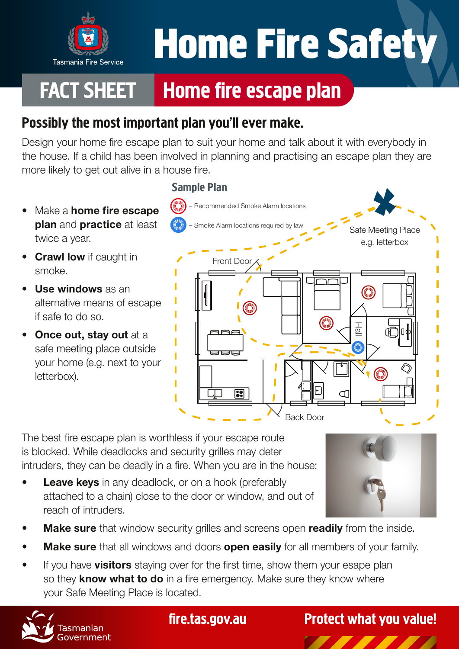

# **Home Fire Safety**

# FACT SHEET Home fire escape plan

## Possibly the most important plan you'll ever make.

Design your home fire escape plan to suit your home and talk about it with everybody in the house. If a child has been involved in planning and practising an escape plan they are more likely to get out alive in a house fire.

- Make a **home fire escape** plan and practice at least twice a year.
- **Crawl low** if caught in smoke.
- Use windows as an alternative means of escape if safe to do so.
- Once out, stay out at a safe meeting place outside your home (e.g. next to your letterbox).



The best fire escape plan is worthless if your escape route is blocked. While deadlocks and security grilles may deter intruders, they can be deadly in a fire. When you are in the house:

**Leave keys** in any deadlock, or on a hook (preferably attached to a chain) close to the door or window, and out of reach of intruders.



- **Make sure** that window security grilles and screens open **readily** from the inside.
- **Make sure** that all windows and doors **open easily** for all members of your family.
- If you have **visitors** staying over for the first time, show them your esape plan so they **know what to do** in a fire emergency. Make sure they know where your Safe Meeting Place is located.



# fire.tas.gov.au Protect what you value!